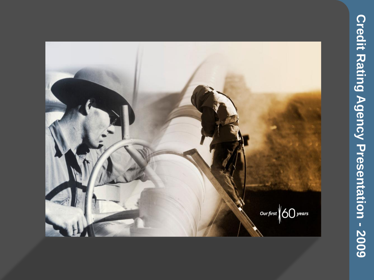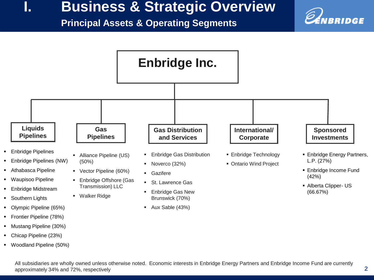### **I. Business & Strategic Overview**

#### **Principal Assets & Operating Segments**



Woodland Pipeline (50%)

All subsidiaries are wholly owned unless otherwise noted. Economic interests in Enbridge Energy Partners and Enbridge Income Fund are currently approximately 34% and 72%, respectively

VBRIDGE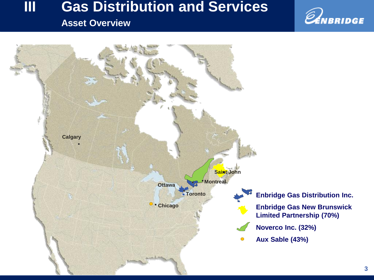## **III Gas Distribution and Services**

### **Asset Overview**